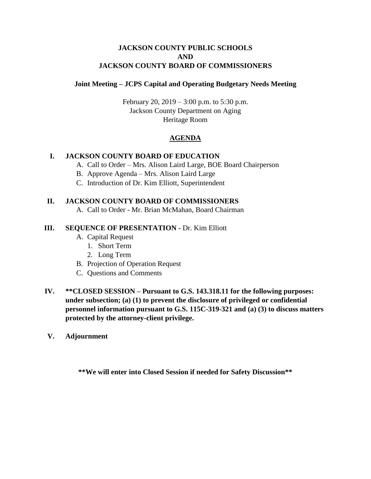# **JACKSON COUNTY PUBLIC SCHOOLS AND JACKSON COUNTY BOARD OF COMMISSIONERS**

## **Joint Meeting – JCPS Capital and Operating Budgetary Needs Meeting**

February 20, 2019 – 3:00 p.m. to 5:30 p.m. Jackson County Department on Aging Heritage Room

# **AGENDA**

## **I. JACKSON COUNTY BOARD OF EDUCATION**

- A. Call to Order Mrs. Alison Laird Large, BOE Board Chairperson
- B. Approve Agenda Mrs. Alison Laird Large
- C. Introduction of Dr. Kim Elliott, Superintendent

#### **II. JACKSON COUNTY BOARD OF COMMISSIONERS**

A. Call to Order - Mr. Brian McMahan, Board Chairman

#### **III. SEQUENCE OF PRESENTATION -** Dr. Kim Elliott

- A. Capital Request
	- 1. Short Term
	- 2. Long Term
- B. Projection of Operation Request
- C. Questions and Comments
- **IV. \*\*CLOSED SESSION – Pursuant to G.S. 143.318.11 for the following purposes: under subsection; (a) (1) to prevent the disclosure of privileged or confidential personnel information pursuant to G.S. 115C-319-321 and (a) (3) to discuss matters protected by the attorney-client privilege.**
- **V. Adjournment**

**\*\*We will enter into Closed Session if needed for Safety Discussion\*\***